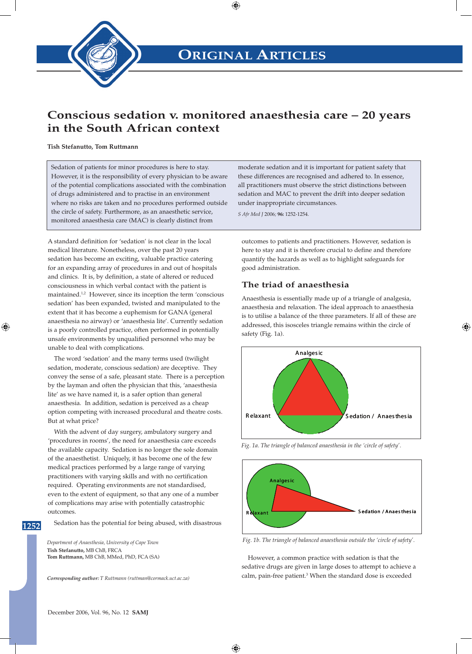

# **Conscious sedation v. monitored anaesthesia care – 20 years in the South African context**

**Tish Stefanutto, Tom Ruttmann**

Sedation of patients for minor procedures is here to stay. However, it is the responsibility of every physician to be aware of the potential complications associated with the combination of drugs administered and to practise in an environment where no risks are taken and no procedures performed outside the circle of safety. Furthermore, as an anaesthetic service, monitored anaesthesia care (MAC) is clearly distinct from

moderate sedation and it is important for patient safety that these differences are recognised and adhered to. In essence, all practitioners must observe the strict distinctions between sedation and MAC to prevent the drift into deeper sedation under inappropriate circumstances.

*S Afr Med J* 2006*;* **96:** 1252-1254.

A standard definition for 'sedation' is not clear in the local medical literature. Nonetheless, over the past 20 years sedation has become an exciting, valuable practice catering for an expanding array of procedures in and out of hospitals and clinics. It is, by definition, a state of altered or reduced consciousness in which verbal contact with the patient is maintained.<sup>1,2</sup> However, since its inception the term 'conscious sedation' has been expanded, twisted and manipulated to the extent that it has become a euphemism for GANA (general anaesthesia no airway) or 'anaesthesia lite'. Currently sedation is a poorly controlled practice, often performed in potentially unsafe environments by unqualified personnel who may be unable to deal with complications.

The word 'sedation' and the many terms used (twilight sedation, moderate, conscious sedation) are deceptive. They convey the sense of a safe, pleasant state. There is a perception by the layman and often the physician that this, 'anaesthesia lite' as we have named it, is a safer option than general anaesthesia. In addition, sedation is perceived as a cheap option competing with increased procedural and theatre costs. But at what price?

With the advent of day surgery, ambulatory surgery and 'procedures in rooms', the need for anaesthesia care exceeds the available capacity. Sedation is no longer the sole domain of the anaesthetist. Uniquely, it has become one of the few medical practices performed by a large range of varying practitioners with varying skills and with no certification required. Operating environments are not standardised, even to the extent of equipment, so that any one of a number of complications may arise with potentially catastrophic outcomes.

Sedation has the potential for being abused, with disastrous

*Department of Anaesthesia, University of Cape Town*  **Tish Stefanutto,** MB ChB, FRCA **Tom Ruttmann,** MB ChB, MMed, PhD, FCA (SA)

1252

*Corresponding author: T Ruttmann (ruttman@cormack.uct.ac.za)*

outcomes to patients and practitioners. However, sedation is here to stay and it is therefore crucial to define and therefore quantify the hazards as well as to highlight safeguards for good administration.

### **The triad of anaesthesia**

Anaesthesia is essentially made up of a triangle of analgesia, anaesthesia and relaxation. The ideal approach to anaesthesia is to utilise a balance of the three parameters. If all of these are addressed, this isosceles triangle remains within the circle of safety (Fig. 1a).



*Fig. 1a. The triangle of balanced anaesthesia in the 'circle of safety'.*



*Fig. 1b. The triangle of balanced anaesthesia outside the 'circle of safety'.*

However, a common practice with sedation is that the sedative drugs are given in large doses to attempt to achieve a calm, pain-free patient.<sup>3</sup> When the standard dose is exceeded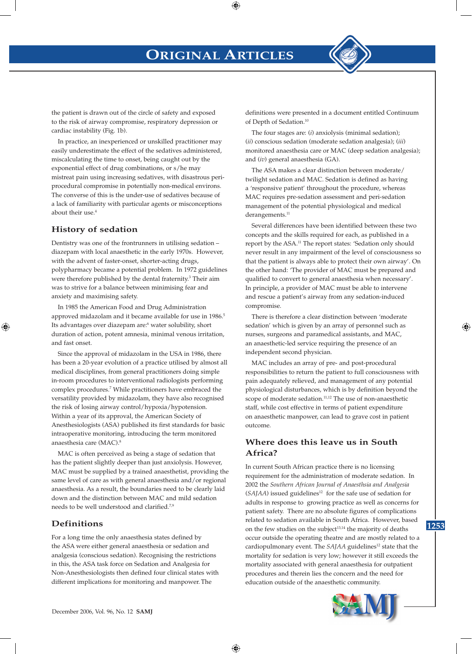

the patient is drawn out of the circle of safety and exposed to the risk of airway compromise, respiratory depression or cardiac instability (Fig. 1b).

In practice, an inexperienced or unskilled practitioner may easily underestimate the effect of the sedatives administered, miscalculating the time to onset, being caught out by the exponential effect of drug combinations, or s/he may mistreat pain using increasing sedatives, with disastrous periprocedural compromise in potentially non-medical environs. The converse of this is the under-use of sedatives because of a lack of familiarity with particular agents or misconceptions about their use.<sup>4</sup>

### **History of sedation**

Dentistry was one of the frontrunners in utilising sedation – diazepam with local anaesthetic in the early 1970s. However, with the advent of faster-onset, shorter-acting drugs, polypharmacy became a potential problem. In 1972 guidelines were therefore published by the dental fraternity.<sup>3</sup> Their aim was to strive for a balance between minimising fear and anxiety and maximising safety.

In 1985 the American Food and Drug Administration approved midazolam and it became available for use in 1986.<sup>5</sup> Its advantages over diazepam are:<sup>6</sup> water solubility, short duration of action, potent amnesia, minimal venous irritation, and fast onset.

Since the approval of midazolam in the USA in 1986, there has been a 20-year evolution of a practice utilised by almost all medical disciplines, from general practitioners doing simple in-room procedures to interventional radiologists performing complex procedures.<sup>7</sup> While practitioners have embraced the versatility provided by midazolam, they have also recognised the risk of losing airway control/hypoxia/hypotension. Within a year of its approval, the American Society of Anesthesiologists (ASA) published its first standards for basic intraoperative monitoring, introducing the term monitored anaesthesia care (MAC).8

MAC is often perceived as being a stage of sedation that has the patient slightly deeper than just anxiolysis. However, MAC must be supplied by a trained anaesthetist, providing the same level of care as with general anaesthesia and/or regional anaesthesia. As a result, the boundaries need to be clearly laid down and the distinction between MAC and mild sedation needs to be well understood and clarified.7,9

### **Definitions**

For a long time the only anaesthesia states defined by the ASA were either general anaesthesia or sedation and analgesia (conscious sedation). Recognising the restrictions in this, the ASA task force on Sedation and Analgesia for Non-Anesthesiologists then defined four clinical states with different implications for monitoring and manpower. The

definitions were presented in a document entitled Continuum of Depth of Sedation.<sup>10</sup>

The four stages are: (*i*) anxiolysis (minimal sedation); (*ii*) conscious sedation (moderate sedation analgesia); (*iii*) monitored anaesthesia care or MAC (deep sedation analgesia); and (*iv*) general anaesthesia (GA).

The ASA makes a clear distinction between moderate/ twilight sedation and MAC. Sedation is defined as having a 'responsive patient' throughout the procedure, whereas MAC requires pre-sedation assessment and peri-sedation management of the potential physiological and medical derangements.<sup>11</sup>

Several differences have been identified between these two concepts and the skills required for each, as published in a report by the ASA.<sup>11</sup> The report states: 'Sedation only should never result in any impairment of the level of consciousness so that the patient is always able to protect their own airway'. On the other hand: 'The provider of MAC must be prepared and qualified to convert to general anaesthesia when necessary'. In principle, a provider of MAC must be able to intervene and rescue a patient's airway from any sedation-induced compromise.

There is therefore a clear distinction between 'moderate sedation' which is given by an array of personnel such as nurses, surgeons and paramedical assistants, and MAC, an anaesthetic-led service requiring the presence of an independent second physician.

MAC includes an array of pre- and post-procedural responsibilities to return the patient to full consciousness with pain adequately relieved, and management of any potential physiological disturbances, which is by definition beyond the scope of moderate sedation.<sup>11,12</sup> The use of non-anaesthetic staff, while cost effective in terms of patient expenditure on anaesthetic manpower, can lead to grave cost in patient outcome.

## **Where does this leave us in South Africa?**

In current South African practice there is no licensing requirement for the administration of moderate sedation. In 2002 the *Southern African Journal of Anaesthsia and Analgesia*  (*SAJAA*) issued guidelines<sup>12</sup> for the safe use of sedation for adults in response to growing practice as well as concerns for patient safety. There are no absolute figures of complications related to sedation available in South Africa. However, based on the few studies on the subject<sup>13,14</sup> the majority of deaths occur outside the operating theatre and are mostly related to a cardiopulmonary event. The *SAJAA* guidelines<sup>12</sup> state that the mortality for sedation is very low; however it still exceeds the mortality associated with general anaesthesia for outpatient procedures and therein lies the concern and the need for education outside of the anaesthetic community.



1253